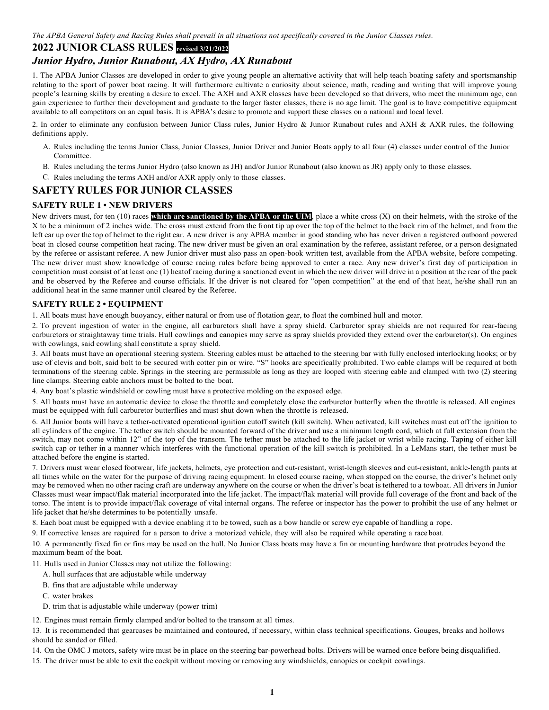The APBA General Safety and Racing Rules shall prevail in all situations not specifically covered in the Junior Classes rules.

# **2022 JUNIOR CLASS RULES revised 3/21/2022**

# *Junior Hydro, Junior Runabout, AX Hydro, AX Runabout*

1. The APBA Junior Classes are developed in order to give young people an alternative activity that will help teach boating safety and sportsmanship relating to the sport of power boat racing. It will furthermore cultivate a curiosity about science, math, reading and writing that will improve young people's learning skills by creating a desire to excel. The AXH and AXR classes have been developed so that drivers, who meet the minimum age, can gain experience to further their development and graduate to the larger faster classes, there is no age limit. The goal is to have competitive equipment available to all competitors on an equal basis. It is APBA's desire to promote and support these classes on a national and local level.

2. In order to eliminate any confusion between Junior Class rules, Junior Hydro & Junior Runabout rules and AXH & AXR rules, the following definitions apply.

- A. Rules including the terms Junior Class, Junior Classes, Junior Driver and Junior Boats apply to all four (4) classes under control of the Junior Committee.
- B. Rules including the terms Junior Hydro (also known as JH) and/or Junior Runabout (also known as JR) apply only to those classes.
- C. Rules including the terms AXH and/or AXR apply only to those classes.

# **SAFETY RULES FOR JUNIOR CLASSES**

# **SAFETY RULE 1 • NEW DRIVERS**

New drivers must, for ten (10) races which are sanctioned by the APBA or the UIM, place a white cross (X) on their helmets, with the stroke of the X to be a minimum of 2 inches wide. The cross must extend from the front tip up over the top of the helmet to the back rim of the helmet, and from the left ear up over the top of helmet to the right ear. A new driver is any APBA member in good standing who has never driven a registered outboard powered boat in closed course competition heat racing. The new driver must be given an oral examination by the referee, assistant referee, or a person designated by the referee or assistant referee. A new Junior driver must also pass an open-book written test, available from the APBA website, before competing. The new driver must show knowledge of course racing rules before being approved to enter a race. Any new driver's first day of participation in competition must consist of at least one (1) heatof racing during a sanctioned event in which the new driver will drive in a position at the rear of the pack and be observed by the Referee and course officials. If the driver is not cleared for "open competition" at the end of that heat, he/she shall run an additional heat in the same manner until cleared by the Referee.

# **SAFETY RULE 2 • EQUIPMENT**

1. All boats must have enough buoyancy, either natural or from use of flotation gear, to float the combined hull and motor.

2. To prevent ingestion of water in the engine, all carburetors shall have a spray shield. Carburetor spray shields are not required for rear-facing carburetors or straightaway time trials. Hull cowlings and canopies may serve as spray shields provided they extend over the carburetor(s). On engines with cowlings, said cowling shall constitute a spray shield.

3. All boats must have an operational steering system. Steering cables must be attached to the steering bar with fully enclosed interlocking hooks; or by use of clevis and bolt, said bolt to be secured with cotter pin or wire. "S" hooks are specifically prohibited. Two cable clamps will be required at both terminations of the steering cable. Springs in the steering are permissible as long as they are looped with steering cable and clamped with two (2) steering line clamps. Steering cable anchors must be bolted to the boat.

4. Any boat's plastic windshield or cowling must have a protective molding on the exposed edge.

5. All boats must have an automatic device to close the throttle and completely close the carburetor butterfly when the throttle is released. All engines must be equipped with full carburetor butterflies and must shut down when the throttle is released.

6. All Junior boats will have a tether-activated operational ignition cutoff switch (kill switch). When activated, kill switches must cut off the ignition to all cylinders of the engine. The tether switch should be mounted forward of the driver and use a minimum length cord, which at full extension from the switch, may not come within 12" of the top of the transom. The tether must be attached to the life jacket or wrist while racing. Taping of either kill switch cap or tether in a manner which interferes with the functional operation of the kill switch is prohibited. In a LeMans start, the tether must be attached before the engine is started.

7. Drivers must wear closed footwear, life jackets, helmets, eye protection and cut-resistant, wrist-length sleeves and cut-resistant, ankle-length pants at all times while on the water for the purpose of driving racing equipment. In closed course racing, when stopped on the course, the driver's helmet only may be removed when no other racing craft are underway anywhere on the course or when the driver's boat is tethered to a towboat. All drivers in Junior Classes must wear impact/flak material incorporated into the life jacket. The impact/flak material will provide full coverage of the front and back of the torso. The intent is to provide impact/flak coverage of vital internal organs. The referee or inspector has the power to prohibit the use of any helmet or life jacket that he/she determines to be potentially unsafe.

8. Each boat must be equipped with a device enabling it to be towed, such as a bow handle or screw eye capable of handling a rope.

9. If corrective lenses are required for a person to drive a motorized vehicle, they will also be required while operating a race boat.

10. A permanently fixed fin or fins may be used on the hull. No Junior Class boats may have a fin or mounting hardware that protrudes beyond the maximum beam of the boat.

11. Hulls used in Junior Classes may not utilize the following:

- A. hull surfaces that are adjustable while underway
- B. fins that are adjustable while underway
- C. water brakes
- D. trim that is adjustable while underway (power trim)

12. Engines must remain firmly clamped and/or bolted to the transom at all times.

13. It is recommended that gearcases be maintained and contoured, if necessary, within class technical specifications. Gouges, breaks and hollows should be sanded or filled.

14. On the OMC J motors, safety wire must be in place on the steering bar-powerhead bolts. Drivers will be warned once before being disqualified.

15. The driver must be able to exit the cockpit without moving or removing any windshields, canopies or cockpit cowlings.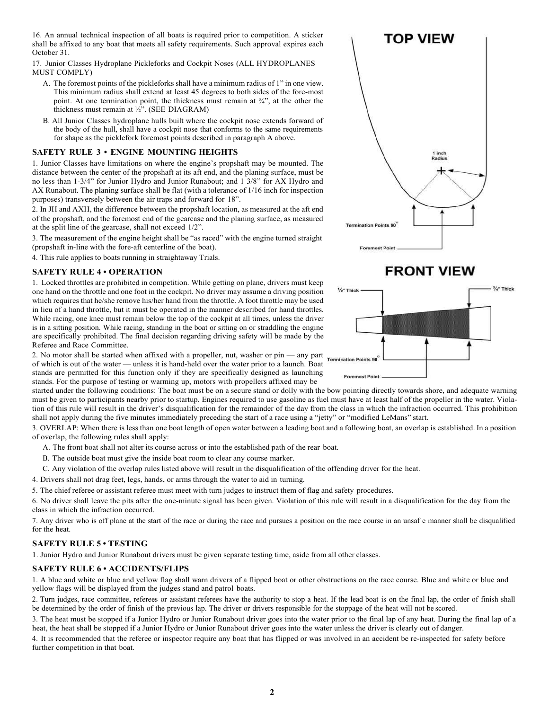16. An annual technical inspection of all boats is required prior to competition. A sticker shall be affixed to any boat that meets all safety requirements. Such approval expires each October 31.

17. Junior Classes Hydroplane Pickleforks and Cockpit Noses (ALL HYDROPLANES MUST COMPLY)

- A. The foremost points of the pickleforks shall have a minimum radius of 1" in one view. This minimum radius shall extend at least 45 degrees to both sides of the fore-most point. At one termination point, the thickness must remain at ¾", at the other the thickness must remain at ½". (SEE DIAGRAM)
- B. All Junior Classes hydroplane hulls built where the cockpit nose extends forward of the body of the hull, shall have a cockpit nose that conforms to the same requirements for shape as the picklefork foremost points described in paragraph A above.

## **SAFETY RULE 3 • ENGINE MOUNTING HEIGHTS**

1. Junior Classes have limitations on where the engine's propshaft may be mounted. The distance between the center of the propshaft at its aft end, and the planing surface, must be no less than 1-3/4" for Junior Hydro and Junior Runabout; and 1 3/8" for AX Hydro and AX Runabout. The planing surface shall be flat (with a tolerance of 1/16 inch for inspection purposes) transversely between the air traps and forward for 18".

2. In JH and AXH, the difference between the propshaft location, as measured at the aft end of the propshaft, and the foremost end of the gearcase and the planing surface, as measured at the split line of the gearcase, shall not exceed 1/2".

3. The measurement of the engine height shall be "as raced" with the engine turned straight (propshaft in-line with the fore-aft centerline of the boat).

4. This rule applies to boats running in straightaway Trials.

#### **SAFETY RULE 4 • OPERATION**

1. Locked throttles are prohibited in competition. While getting on plane, drivers must keep one hand on the throttle and one foot in the cockpit. No driver may assume a driving position which requires that he/she remove his/her hand from the throttle. A foot throttle may be used in lieu of a hand throttle, but it must be operated in the manner described for hand throttles. While racing, one knee must remain below the top of the cockpit at all times, unless the driver is in a sitting position. While racing, standing in the boat or sitting on or straddling the engine are specifically prohibited. The final decision regarding driving safety will be made by the Referee and Race Committee.

2. No motor shall be started when affixed with a propeller, nut, washer or pin — any part of which is out of the water — unless it is hand-held over the water prior to a launch. Boat stands are permitted for this function only if they are specifically designed as launching stands. For the purpose of testing or warming up, motors with propellers affixed may be

started under the following conditions: The boat must be on a secure stand or dolly with the bow pointing directly towards shore, and adequate warning must be given to participants nearby prior to startup. Engines required to use gasoline as fuel must have at least half of the propeller in the water. Violation of this rule will result in the driver's disqualification for the remainder of the day from the class in which the infraction occurred. This prohibition shall not apply during the five minutes immediately preceding the start of a race using a "jetty" or "modified LeMans" start.

3. OVERLAP: When there is less than one boat length of open water between a leading boat and a following boat, an overlap is established. In a position of overlap, the following rules shall apply:

A. The front boat shall not alter its course across or into the established path of the rear boat.

B. The outside boat must give the inside boat room to clear any course marker.

- C. Any violation of the overlap rules listed above will result in the disqualification of the offending driver for the heat.
- 4. Drivers shall not drag feet, legs, hands, or arms through the water to aid in turning.

5. The chief referee or assistant referee must meet with turn judges to instruct them of flag and safety procedures.

6. No driver shall leave the pits after the one-minute signal has been given. Violation of this rule will result in a disqualification for the day from the class in which the infraction occurred.

7. Any driver who is off plane at the start of the race or during the race and pursues a position on the race course in an unsaf e manner shall be disqualified for the heat.

# **SAFETY RULE 5 • TESTING**

1. Junior Hydro and Junior Runabout drivers must be given separate testing time, aside from all other classes.

#### **SAFETY RULE 6 • ACCIDENTS/FLIPS**

1. A blue and white or blue and yellow flag shall warn drivers of a flipped boat or other obstructions on the race course. Blue and white or blue and yellow flags will be displayed from the judges stand and patrol boats.

2. Turn judges, race committee, referees or assistant referees have the authority to stop a heat. If the lead boat is on the final lap, the order of finish shall be determined by the order of finish of the previous lap. The driver or drivers responsible for the stoppage of the heat will not be scored.

3. The heat must be stopped if a Junior Hydro or Junior Runabout driver goes into the water prior to the final lap of any heat. During the final lap of a heat, the heat shall be stopped if a Junior Hydro or Junior Runabout driver goes into the water unless the driver is clearly out of danger.

4. It is recommended that the referee or inspector require any boat that has flipped or was involved in an accident be re-inspected for safety before further competition in that boat.





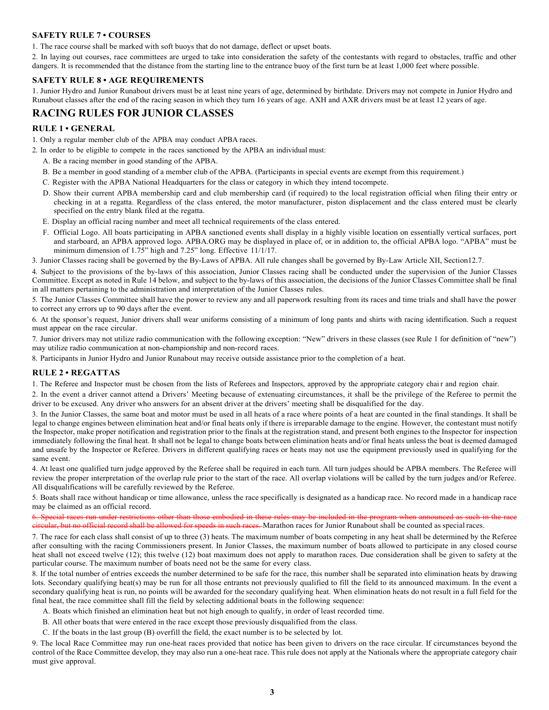# **SAFETY RULE 7 • COURSES**

1. The race course shall be marked with soft buoys that do not damage, deflect or upset boats.

2. In laying out courses, race committees are urged to take into consideration the safety of the contestants with regard to obstacles, traffic and other dangers. It is recommended that the distance from the starting line to the entrance buoy of the first turn be at least 1,000 feet where possible.

## **SAFETY RULE 8 • AGE REQUIREMENTS**

1. Junior Hydro and Junior Runabout drivers must be at least nine years of age, determined by birthdate. Drivers may not compete in Junior Hydro and Runabout classes after the end of the racing season in which they turn 16 years of age. AXH and AXR drivers must be at least 12 years of age.

# **RACING RULES FOR JUNIOR CLASSES**

# **RULE 1 • GENERAL**

1. Only a regular member club of the APBA may conduct APBA races.

2. In order to be eligible to compete in the races sanctioned by the APBA an individual must:

- A. Be a racing member in good standing of the APBA.
- B. Be a member in good standing of a member club of the APBA. (Participants in special events are exempt from this requirement.)
- C. Register with the APBA National Headquarters for the class or category in which they intend tocompete.
- D. Show their current APBA membership card and club membership card (if required) to the local registration official when filing their entry or checking in at a regatta. Regardless of the class entered, the motor manufacturer, piston displacement and the class entered must be clearly specified on the entry blank filed at the regatta.
- E. Display an official racing number and meet all technical requirements of the class entered.
- F. Official Logo. All boats participating in APBA sanctioned events shall display in a highly visible location on essentially vertical surfaces, port and starboard, an APBA approved logo. APBA.ORG may be displayed in place of, or in addition to, the official APBA logo. "APBA" must be minimum dimension of 1.75" high and 7.25" long. Effective 11/1/17.

3. Junior Classes racing shall be governed by the By-Laws of APBA. All rule changes shall be governed by By-Law Article XII, Section12.7.

4. Subject to the provisions of the by-laws of this association, Junior Classes racing shall be conducted under the supervision of the Junior Classes Committee. Except as noted in Rule 14 below, and subject to the by-laws of this association, the decisions of the Junior Classes Committee shall be final in all matters pertaining to the administration and interpretation of the Junior Classes rules.

5. The Junior Classes Committee shall have the power to review any and all paperwork resulting from its races and time trials and shall have the power to correct any errors up to 90 days after the event.

6. At the sponsor's request, Junior drivers shall wear uniforms consisting of a minimum of long pants and shirts with racing identification. Such a request must appear on the race circular.

7. Junior drivers may not utilize radio communication with the following exception: "New" drivers in these classes (see Rule 1 for definition of "new") may utilize radio communication at non-championship and non-record races.

8. Participants in Junior Hydro and Junior Runabout may receive outside assistance prior to the completion of a heat.

## **RULE 2 • REGATTAS**

1. The Referee and Inspector must be chosen from the lists of Referees and Inspectors, approved by the appropriate category chai r and region chair.

2. In the event a driver cannot attend a Drivers' Meeting because of extenuating circumstances, it shall be the privilege of the Referee to permit the driver to be excused. Any driver who answers for an absent driver at the drivers' meeting shall be disqualified for the day.

3. In the Junior Classes, the same boat and motor must be used in all heats of a race where points of a heat are counted in the final standings. It shall be legal to change engines between elimination heat and/or final heats only if there is irreparable damage to the engine. However, the contestant must notify the Inspector, make proper notification and registration prior to the finals at the registration stand, and present both engines to the Inspector for inspection immediately following the final heat. It shall not be legal to change boats between elimination heats and/or final heats unless the boat is deemed damaged and unsafe by the Inspector or Referee. Drivers in different qualifying races or heats may not use the equipment previously used in qualifying for the same event.

4. At least one qualified turn judge approved by the Referee shall be required in each turn. All turn judges should be APBA members. The Referee will review the proper interpretation of the overlap rule prior to the start of the race. All overlap violations will be called by the turn judges and/or Referee. All disqualifications will be carefully reviewed by the Referee.

5. Boats shall race without handicap or time allowance, unless the race specifically is designated as a handicap race. No record made in a handicap race may be claimed as an official record.

6. Special races run under restrictions other than those embodied in these rules may be included in circular, but no official record shall be allowed for speeds in such races. Marathon races for Junior Runabout shall be counted as special races.

7. The race for each class shall consist of up to three (3) heats. The maximum number of boats competing in any heat shall be determined by the Referee after consulting with the racing Commissioners present. In Junior Classes, the maximum number of boats allowed to participate in any closed course heat shall not exceed twelve (12); this twelve (12) boat maximum does not apply to marathon races. Due consideration shall be given to safety at the particular course. The maximum number of boats need not be the same for every class.

8. If the total number of entries exceeds the number determined to be safe for the race, this number shall be separated into elimination heats by drawing lots. Secondary qualifying heat(s) may be run for all those entrants not previously qualified to fill the field to its announced maximum. In the event a secondary qualifying heat is run, no points will be awarded for the secondary qualifying heat. When elimination heats do not result in a full field for the final heat, the race committee shall fill the field by selecting additional boats in the following sequence:

A. Boats which finished an elimination heat but not high enough to qualify, in order of least recorded time.

B. All other boats that were entered in the race except those previously disqualified from the class.

C. If the boats in the last group (B) overfill the field, the exact number is to be selected by lot.

9. The local Race Committee may run one-heat races provided that notice has been given to drivers on the race circular. If circumstances beyond the control of the Race Committee develop, they may also run a one-heat race. This rule does not apply at the Nationals where the appropriate category chair must give approval.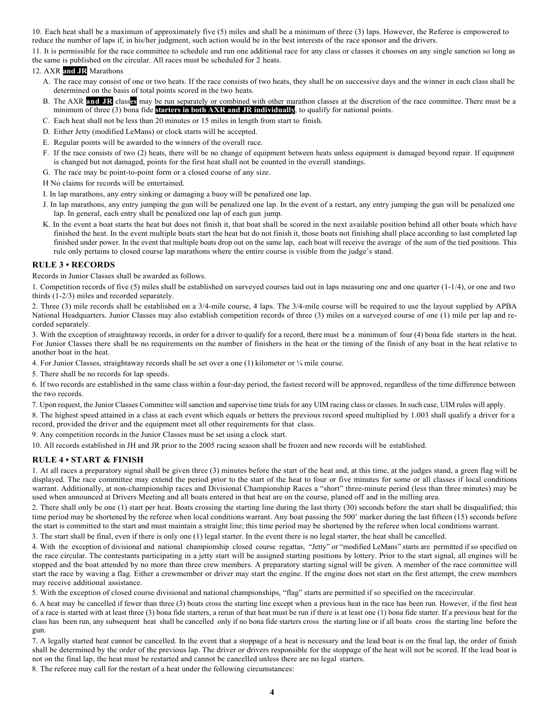10. Each heat shall be a maximum of approximately five (5) miles and shall be a minimum of three (3) laps. However, the Referee is empowered to reduce the number of laps if, in his/her judgment, such action would be in the best interests of the race sponsor and the drivers.

11. It is permissible for the race committee to schedule and run one additional race for any class or classes it chooses on any single sanction so long as the same is published on the circular. All races must be scheduled for 2 heats.

## 12. AXR **and JR** Marathons

- A. The race may consist of one or two heats. If the race consists of two heats, they shall be on successive days and the winner in each class shall be determined on the basis of total points scored in the two heats.
- B. The AXR **and JR** class**es** may be run separately or combined with other marathon classes at the discretion of the race committee. There must be a minimum of three (3) bona fide **starters in both AXR and JR individually**, to qualify for national points.
- C. Each heat shall not be less than 20 minutes or 15 miles in length from start to finish.
- D. Either Jetty (modified LeMans) or clock starts will be accepted.
- E. Regular points will be awarded to the winners of the overall race.
- F. If the race consists of two (2) heats, there will be no change of equipment between heats unless equipment is damaged beyond repair. If equipment is changed but not damaged, points for the first heat shall not be counted in the overall standings.
- G. The race may be point-to-point form or a closed course of any size.
- H No claims for records will be entertained.
- I. In lap marathons, any entry sinking or damaging a buoy will be penalized one lap.
- J. In lap marathons, any entry jumping the gun will be penalized one lap. In the event of a restart, any entry jumping the gun will be penalized one lap. In general, each entry shall be penalized one lap of each gun jump.
- K. In the event a boat starts the heat but does not finish it, that boat shall be scored in the next available position behind all other boats which have finished the heat. In the event multiple boats start the heat but do not finish it, those boats not finishing shall place according to last completed lap finished under power. In the event that multiple boats drop out on the same lap, each boat will receive the average of the sum of the tied positions. This rule only pertains to closed course lap marathons where the entire course is visible from the judge's stand.

#### **RULE 3 • RECORDS**

Records in Junior Classes shall be awarded as follows.

1. Competition records of five (5) miles shall be established on surveyed courses laid out in laps measuring one and one quarter (1-1/4), or one and two thirds (1-2/3) miles and recorded separately.

2. Three (3) mile records shall be established on a 3/4-mile course, 4 laps. The 3/4-mile course will be required to use the layout supplied by APBA National Headquarters. Junior Classes may also establish competition records of three (3) miles on a surveyed course of one (1) mile per lap and recorded separately.

3. With the exception of straightaway records, in order for a driver to qualify for a record, there must be a minimum of four (4) bona fide starters in the heat. For Junior Classes there shall be no requirements on the number of finishers in the heat or the timing of the finish of any boat in the heat relative to another boat in the heat.

4. For Junior Classes, straightaway records shall be set over a one (1) kilometer or ¼ mile course.

5. There shall be no records for lap speeds.

6. If two records are established in the same class within a four-day period, the fastest record will be approved, regardless of the time difference between the two records.

7. Upon request, the Junior Classes Committee will sanction and supervise time trials for any UIM racing class or classes. In such case, UIM rules will apply.

8. The highest speed attained in a class at each event which equals or betters the previous record speed multiplied by 1.003 shall qualify a driver for a record, provided the driver and the equipment meet all other requirements for that class.

9. Any competition records in the Junior Classes must be set using a clock start.

10. All records established in JH and JR prior to the 2005 racing season shall be frozen and new records will be established.

# **RULE 4 • START & FINISH**

1. At all races a preparatory signal shall be given three (3) minutes before the start of the heat and, at this time, at the judges stand, a green flag will be displayed. The race committee may extend the period prior to the start of the heat to four or five minutes for some or all classes if local conditions warrant. Additionally, at non-championship races and Divisional Championship Races a "short" three-minute period (less than three minutes) may be used when announced at Drivers Meeting and all boats entered in that heat are on the course, planed off and in the milling area.

2. There shall only be one (1) start per heat. Boats crossing the starting line during the last thirty (30) seconds before the start shall be disqualified; this time period may be shortened by the referee when local conditions warrant. Any boat passing the 500' marker during the last fifteen (15) seconds before the start is committed to the start and must maintain a straight line; this time period may be shortened by the referee when local conditions warrant.

3. The start shall be final, even if there is only one (1) legal starter. In the event there is no legal starter, the heat shall be cancelled.

4. With the exception of divisional and national championship closed course regattas, "Jetty" or "modified LeMans" starts are permitted if so specified on the race circular. The contestants participating in a jetty start will be assigned starting positions by lottery. Prior to the start signal, all engines will be stopped and the boat attended by no more than three crew members. A preparatory starting signal will be given. A member of the race committee will start the race by waving a flag. Either a crewmember or driver may start the engine. If the engine does not start on the first attempt, the crew members may receive additional assistance.

5. With the exception of closed course divisional and national championships, "flag" starts are permitted if so specified on the racecircular.

6. A heat may be cancelled if fewer than three (3) boats cross the starting line except when a previous heat in the race has been run. However, if the first heat of a race is started with at least three (3) bona fide starters, a rerun of that heat must be run if there is at least one (1) bona fide starter. If a previous heat for the class has been run, any subsequent heat shall be cancelled only if no bona fide starters cross the starting line or if all boats cross the starting line before the gun.

7. A legally started heat cannot be cancelled. In the event that a stoppage of a heat is necessary and the lead boat is on the final lap, the order of finish shall be determined by the order of the previous lap. The driver or drivers responsible for the stoppage of the heat will not be scored. If the lead boat is not on the final lap, the heat must be restarted and cannot be cancelled unless there are no legal starters.

8. The referee may call for the restart of a heat under the following circumstances: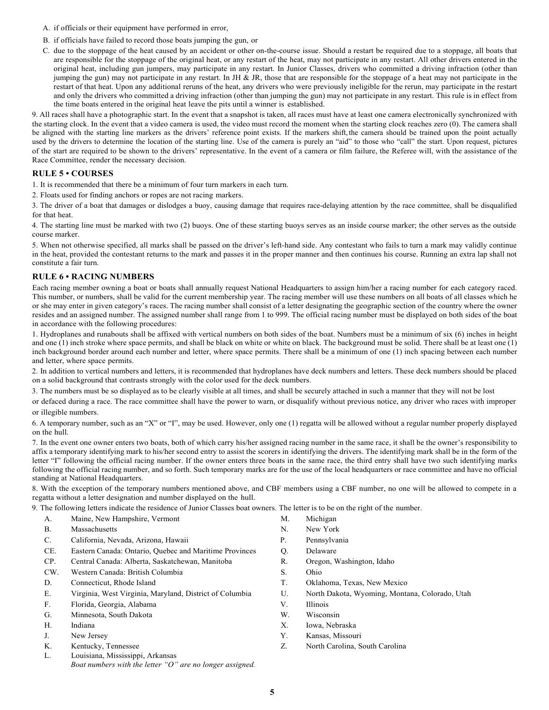- A. if officials or their equipment have performed in error,
- B. if officials have failed to record those boats jumping the gun, or
- C. due to the stoppage of the heat caused by an accident or other on-the-course issue. Should a restart be required due to a stoppage, all boats that are responsible for the stoppage of the original heat, or any restart of the heat, may not participate in any restart. All other drivers entered in the original heat, including gun jumpers, may participate in any restart. In Junior Classes, drivers who committed a driving infraction (other than jumping the gun) may not participate in any restart. In JH & JR, those that are responsible for the stoppage of a heat may not participate in the restart of that heat. Upon any additional reruns of the heat, any drivers who were previously ineligible for the rerun, may participate in the restart and only the drivers who committed a driving infraction (other than jumping the gun) may not participate in any restart. This rule is in effect from the time boats entered in the original heat leave the pits until a winner is established.

9. All races shall have a photographic start. In the event that a snapshot is taken, all races must have at least one camera electronically synchronized with the starting clock. In the event that a video camera is used, the video must record the moment when the starting clock reaches zero (0). The camera shall be aligned with the starting line markers as the drivers' reference point exists. If the markers shift, the camera should be trained upon the point actually used by the drivers to determine the location of the starting line. Use of the camera is purely an "aid" to those who "call" the start. Upon request, pictures of the start are required to be shown to the drivers' representative. In the event of a camera or film failure, the Referee will, with the assistance of the Race Committee, render the necessary decision.

## **RULE 5 • COURSES**

1. It is recommended that there be a minimum of four turn markers in each turn.

2. Floats used for finding anchors or ropes are not racing markers.

3. The driver of a boat that damages or dislodges a buoy, causing damage that requires race-delaying attention by the race committee, shall be disqualified for that heat.

4. The starting line must be marked with two (2) buoys. One of these starting buoys serves as an inside course marker; the other serves as the outside course marker.

5. When not otherwise specified, all marks shall be passed on the driver's left-hand side. Any contestant who fails to turn a mark may validly continue in the heat, provided the contestant returns to the mark and passes it in the proper manner and then continues his course. Running an extra lap shall not constitute a fair turn.

# **RULE 6 • RACING NUMBERS**

Each racing member owning a boat or boats shall annually request National Headquarters to assign him/her a racing number for each category raced. This number, or numbers, shall be valid for the current membership year. The racing member will use these numbers on all boats of all classes which he or she may enter in given category's races. The racing number shall consist of a letter designating the geographic section of the country where the owner resides and an assigned number. The assigned number shall range from 1 to 999. The official racing number must be displayed on both sides of the boat in accordance with the following procedures:

1. Hydroplanes and runabouts shall be affixed with vertical numbers on both sides of the boat. Numbers must be a minimum of six (6) inches in height and one (1) inch stroke where space permits, and shall be black on white or white on black. The background must be solid. There shall be at least one (1) inch background border around each number and letter, where space permits. There shall be a minimum of one (1) inch spacing between each number and letter, where space permits.

2. In addition to vertical numbers and letters, it is recommended that hydroplanes have deck numbers and letters. These deck numbers should be placed on a solid background that contrasts strongly with the color used for the deck numbers.

3. The numbers must be so displayed as to be clearly visible at all times, and shall be securely attached in such a manner that they will not be lost

or defaced during a race. The race committee shall have the power to warn, or disqualify without previous notice, any driver who races with improper or illegible numbers.

6. A temporary number, such as an "X" or "I", may be used. However, only one (1) regatta will be allowed without a regular number properly displayed on the hull.

7. In the event one owner enters two boats, both of which carry his/her assigned racing number in the same race, it shall be the owner's responsibility to affix a temporary identifying mark to his/her second entry to assist the scorers in identifying the drivers. The identifying mark shall be in the form of the letter "I" following the official racing number. If the owner enters three boats in the same race, the third entry shall have two such identifying marks following the official racing number, and so forth. Such temporary marks are for the use of the local headquarters or race committee and have no official standing at National Headquarters.

8. With the exception of the temporary numbers mentioned above, and CBF members using a CBF number, no one will be allowed to compete in a regatta without a letter designation and number displayed on the hull.

9. The following letters indicate the residence of Junior Classes boat owners. The letter is to be on the right of the number.

- A. Maine, New Hampshire, Vermont and M. Michigan
- B. Massachusetts N. New York
- C. California, Nevada, Arizona, Hawaii P. Pennsylvania
- CE. Eastern Canada: Ontario, Quebec and Maritime Provinces Q. Delaware
- CP. Central Canada: Alberta, Saskatchewan, Manitoba R. Oregon, Washington, Idaho
- CW. Western Canada: British Columbia S. Ohio
- 
- E. Virginia, West Virginia, Maryland, District of Columbia U. North Dakota, Wyoming, Montana, Colorado, Utah
- F. Florida, Georgia, Alabama V. Illinois
- G. Minnesota, South Dakota W. Wisconsin
- 
- 
- K. Kentucky, Tennessee
- $L$ . Louisiana, Mississippi, Arkansas
	- *Boat numbers with the letter "O" are no longer assigned.*
- 
- 
- 
- 
- 
- 
- D. Connecticut, Rhode Island T. Oklahoma, Texas, New Mexico
	-
	-
	-
- H. Indiana X. Iowa, Nebraska
- J. New Jersey Y. Kansas, Missouri
	- Z. North Carolina, South Carolina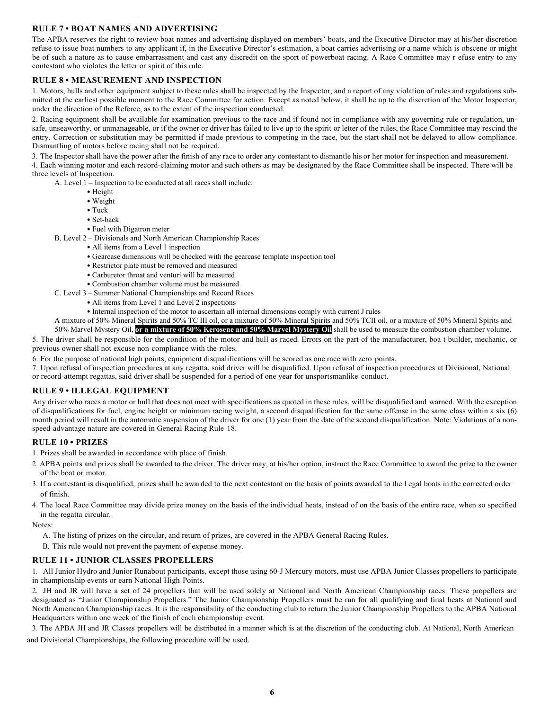# **RULE 7 • BOAT NAMES AND ADVERTISING**

The APBA reserves the right to review boat names and advertising displayed on members' boats, and the Executive Director may at his/her discretion refuse to issue boat numbers to any applicant if, in the Executive Director's estimation, a boat carries advertising or a name which is obscene or might be of such a nature as to cause embarrassment and cast any discredit on the sport of powerboat racing. A Race Committee may r efuse entry to any contestant who violates the letter or spirit of this rule.

## **RULE 8 • MEASUREMENT AND INSPECTION**

1. Motors, hulls and other equipment subject to these rules shall be inspected by the Inspector, and a report of any violation of rules and regulations submitted at the earliest possible moment to the Race Committee for action. Except as noted below, it shall be up to the discretion of the Motor Inspector, under the direction of the Referee, as to the extent of the inspection conducted.

2. Racing equipment shall be available for examination previous to the race and if found not in compliance with any governing rule or regulation, unsafe, unseaworthy, or unmanageable, or if the owner or driver has failed to live up to the spirit or letter of the rules, the Race Committee may rescind the entry. Correction or substitution may be permitted if made previous to competing in the race, but the start shall not be delayed to allow compliance. Dismantling of motors before racing shall not be required.

3. The Inspector shall have the power after the finish of any race to order any contestant to dismantle his or her motor for inspection and measurement. 4. Each winning motor and each record-claiming motor and such others as may be designated by the Race Committee shall be inspected. There will be three levels of Inspection.

A. Level 1 – Inspection to be conducted at all races shall include:

- Height
- Weight
- Tuck
- Set-back
- Fuel with Digatron meter

B. Level 2 – Divisionals and North American Championship Races

- All items from a Level 1 inspection
- Gearcase dimensions will be checked with the gearcase template inspection tool
- Restrictor plate must be removed and measured
- Carburetor throat and venturi will be measured
- Combustion chamber volume must be measured
- C. Level 3 Summer National Championships and Record Races
	- All items from Level 1 and Level 2 inspections
	- Internal inspection of the motor to ascertain all internal dimensions comply with current J rules

A mixture of 50% Mineral Spirits and 50% TC III oil, or a mixture of 50% Mineral Spirits and 50% TCII oil, or a mixture of 50% Mineral Spirits and 50% Marvel Mystery Oil, **or a mixture of 50% Kerosene and 50% Marvel Mystery Oil** shall be used to measure the combustion chamber volume.

5. The driver shall be responsible for the condition of the motor and hull as raced. Errors on the part of the manufacturer, boa t builder, mechanic, or previous owner shall not excuse non-compliance with the rules.

6. For the purpose of national high points, equipment disqualifications will be scored as one race with zero points.

7. Upon refusal of inspection procedures at any regatta, said driver will be disqualified. Upon refusal of inspection procedures at Divisional, National or record-attempt regattas, said driver shall be suspended for a period of one year for unsportsmanlike conduct.

#### **RULE 9 • ILLEGAL EQUIPMENT**

Any driver who races a motor or hull that does not meet with specifications as quoted in these rules, will be disqualified and warned. With the exception of disqualifications for fuel, engine height or minimum racing weight, a second disqualification for the same offense in the same class within a six (6) month period will result in the automatic suspension of the driver for one (1) year from the date of the second disqualification. Note: Violations of a nonspeed-advantage nature are covered in General Racing Rule 18.

#### **RULE 10 • PRIZES**

1. Prizes shall be awarded in accordance with place of finish.

- 2. APBA points and prizes shall be awarded to the driver. The driver may, at his/her option, instruct the Race Committee to award the prize to the owner of the boat or motor.
- 3. If a contestant is disqualified, prizes shall be awarded to the next contestant on the basis of points awarded to the l egal boats in the corrected order of finish.
- 4. The local Race Committee may divide prize money on the basis of the individual heats, instead of on the basis of the entire race, when so specified in the regatta circular.

Notes:

- A. The listing of prizes on the circular, and return of prizes, are covered in the APBA General Racing Rules.
- B. This rule would not prevent the payment of expense money.

#### **RULE 11 • JUNIOR CLASSES PROPELLERS**

1. All Junior Hydro and Junior Runabout participants, except those using 60-J Mercury motors, must use APBA Junior Classes propellers to participate in championship events or earn National High Points.

2. JH and JR will have a set of 24 propellers that will be used solely at National and North American Championship races. These propellers are designated as "Junior Championship Propellers." The Junior Championship Propellers must be run for all qualifying and final heats at National and North American Championship races. It is the responsibility of the conducting club to return the Junior Championship Propellers to the APBA National Headquarters within one week of the finish of each championship event.

3. The APBA JH and JR Classes propellers will be distributed in a manner which is at the discretion of the conducting club. At National, North American

and Divisional Championships, the following procedure will be used.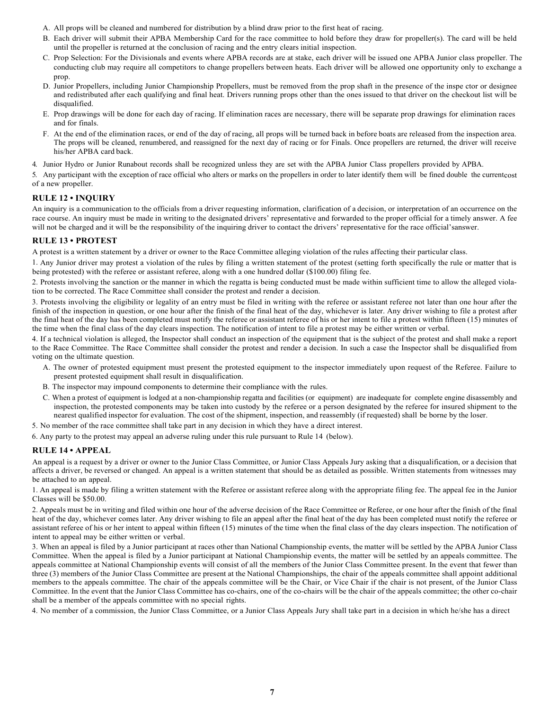- A. All props will be cleaned and numbered for distribution by a blind draw prior to the first heat of racing.
- B. Each driver will submit their APBA Membership Card for the race committee to hold before they draw for propeller(s). The card will be held until the propeller is returned at the conclusion of racing and the entry clears initial inspection.
- C. Prop Selection: For the Divisionals and events where APBA records are at stake, each driver will be issued one APBA Junior class propeller. The conducting club may require all competitors to change propellers between heats. Each driver will be allowed one opportunity only to exchange a prop.
- D. Junior Propellers, including Junior Championship Propellers, must be removed from the prop shaft in the presence of the inspe ctor or designee and redistributed after each qualifying and final heat. Drivers running props other than the ones issued to that driver on the checkout list will be disqualified.
- E. Prop drawings will be done for each day of racing. If elimination races are necessary, there will be separate prop drawings for elimination races and for finals.
- F. At the end of the elimination races, or end of the day of racing, all props will be turned back in before boats are released from the inspection area. The props will be cleaned, renumbered, and reassigned for the next day of racing or for Finals. Once propellers are returned, the driver will receive his/her APBA card back.

4. Junior Hydro or Junior Runabout records shall be recognized unless they are set with the APBA Junior Class propellers provided by APBA.

5. Any participant with the exception of race official who alters or marks on the propellers in order to later identify them will be fined double the currentcost of a new propeller.

# **RULE 12 • INQUIRY**

An inquiry is a communication to the officials from a driver requesting information, clarification of a decision, or interpretation of an occurrence on the race course. An inquiry must be made in writing to the designated drivers' representative and forwarded to the proper official for a timely answer. A fee will not be charged and it will be the responsibility of the inquiring driver to contact the drivers' representative for the race official'sanswer.

## **RULE 13 • PROTEST**

A protest is a written statement by a driver or owner to the Race Committee alleging violation of the rules affecting their particular class.

1. Any Junior driver may protest a violation of the rules by filing a written statement of the protest (setting forth specifically the rule or matter that is being protested) with the referee or assistant referee, along with a one hundred dollar (\$100.00) filing fee.

2. Protests involving the sanction or the manner in which the regatta is being conducted must be made within sufficient time to allow the alleged violation to be corrected. The Race Committee shall consider the protest and render a decision.

3. Protests involving the eligibility or legality of an entry must be filed in writing with the referee or assistant referee not later than one hour after the finish of the inspection in question, or one hour after the finish of the final heat of the day, whichever is later. Any driver wishing to file a protest after the final heat of the day has been completed must notify the referee or assistant referee of his or her intent to file a protest within fifteen (15) minutes of the time when the final class of the day clears inspection. The notification of intent to file a protest may be either written or verbal.

4. If a technical violation is alleged, the Inspector shall conduct an inspection of the equipment that is the subject of the protest and shall make a report to the Race Committee. The Race Committee shall consider the protest and render a decision. In such a case the Inspector shall be disqualified from voting on the ultimate question.

- A. The owner of protested equipment must present the protested equipment to the inspector immediately upon request of the Referee. Failure to present protested equipment shall result in disqualification.
- B. The inspector may impound components to determine their compliance with the rules.
- C. When a protest of equipment is lodged at a non-championship regatta and facilities (or equipment) are inadequate for complete engine disassembly and inspection, the protested components may be taken into custody by the referee or a person designated by the referee for insured shipment to the nearest qualified inspector for evaluation. The cost of the shipment, inspection, and reassembly (if requested) shall be borne by the loser.

5. No member of the race committee shall take part in any decision in which they have a direct interest.

6. Any party to the protest may appeal an adverse ruling under this rule pursuant to Rule 14 (below).

## **RULE 14 • APPEAL**

An appeal is a request by a driver or owner to the Junior Class Committee, or Junior Class Appeals Jury asking that a disqualification, or a decision that affects a driver, be reversed or changed. An appeal is a written statement that should be as detailed as possible. Written statements from witnesses may be attached to an appeal.

1. An appeal is made by filing a written statement with the Referee or assistant referee along with the appropriate filing fee. The appeal fee in the Junior Classes will be \$50.00.

2. Appeals must be in writing and filed within one hour of the adverse decision of the Race Committee or Referee, or one hour after the finish of the final heat of the day, whichever comes later. Any driver wishing to file an appeal after the final heat of the day has been completed must notify the referee or assistant referee of his or her intent to appeal within fifteen (15) minutes of the time when the final class of the day clears inspection. The notification of intent to appeal may be either written or verbal.

3. When an appeal is filed by a Junior participant at races other than National Championship events, the matter will be settled by the APBA Junior Class Committee. When the appeal is filed by a Junior participant at National Championship events, the matter will be settled by an appeals committee. The appeals committee at National Championship events will consist of all the members of the Junior Class Committee present. In the event that fewer than three (3) members of the Junior Class Committee are present at the National Championships, the chair of the appeals committee shall appoint additional members to the appeals committee. The chair of the appeals committee will be the Chair, or Vice Chair if the chair is not present, of the Junior Class Committee. In the event that the Junior Class Committee has co-chairs, one of the co-chairs will be the chair of the appeals committee; the other co-chair shall be a member of the appeals committee with no special rights.

4. No member of a commission, the Junior Class Committee, or a Junior Class Appeals Jury shall take part in a decision in which he/she has a direct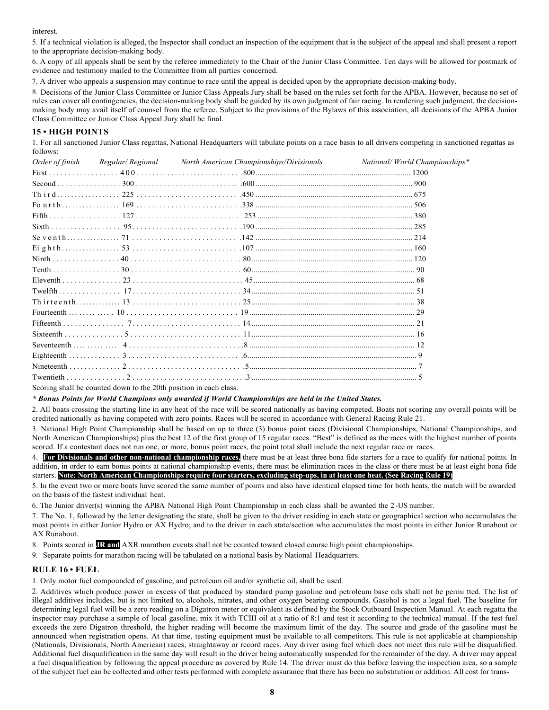interest.

5. If a technical violation is alleged, the Inspector shall conduct an inspection of the equipment that is the subject of the appeal and shall present a report to the appropriate decision-making body.

6. A copy of all appeals shall be sent by the referee immediately to the Chair of the Junior Class Committee. Ten days will be allowed for postmark of evidence and testimony mailed to the Committee from all parties concerned.

7. A driver who appeals a suspension may continue to race until the appeal is decided upon by the appropriate decision-making body.

8. Decisions of the Junior Class Committee or Junior Class Appeals Jury shall be based on the rules set forth for the APBA. However, because no set of rules can cover all contingencies, the decision-making body shall be guided by its own judgment of fair racing. In rendering such judgment, the decisionmaking body may avail itself of counsel from the referee. Subject to the provisions of the Bylaws of this association, all decisions of the APBA Junior Class Committee or Junior Class Appeal Jury shall be final.

# **15 • HIGH POINTS**

1. For all sanctioned Junior Class regattas, National Headquarters will tabulate points on a race basis to all drivers competing in sanctioned regattas as follows:

| Order of finish | Regular/ Regional North American Championships/Divisionals | National/World Championships* |
|-----------------|------------------------------------------------------------|-------------------------------|
|                 |                                                            |                               |
|                 |                                                            |                               |
|                 |                                                            |                               |
|                 |                                                            |                               |
|                 |                                                            |                               |
|                 |                                                            |                               |
|                 |                                                            |                               |
|                 |                                                            |                               |
|                 |                                                            |                               |
|                 |                                                            |                               |
|                 |                                                            |                               |
|                 |                                                            |                               |
|                 |                                                            |                               |
|                 |                                                            |                               |
|                 |                                                            |                               |
|                 |                                                            |                               |
|                 |                                                            |                               |
|                 |                                                            |                               |
|                 |                                                            |                               |
|                 |                                                            |                               |

Scoring shall be counted down to the 20th position in each class.

### *\* Bonus Points for World Champions only awarded if World Championships are held in the United States.*

2. All boats crossing the starting line in any heat of the race will be scored nationally as having competed. Boats not scoring any overall points will be credited nationally as having competed with zero points. Races will be scored in accordance with General Racing Rule 21.

3. National High Point Championship shall be based on up to three (3) bonus point races (Divisional Championships, National Championships, and North American Championships) plus the best 12 of the first group of 15 regular races. "Best" is defined as the races with the highest number of points scored. If a contestant does not run one, or more, bonus point races, the point total shall include the next regular race or races.

4. **For Divisionals and other non-national championship races,** there must be at least three bona fide starters for a race to qualify for national points. In addition, in order to earn bonus points at national championship events, there must be elimination races in the class or there must be at least eight bona fide starters. **Note: North American Championships require four starters, excluding step-ups, in at least one heat. (See Racing Rule 19)**

5. In the event two or more boats have scored the same number of points and also have identical elapsed time for both heats, the match will be awarded on the basis of the fastest individual heat.

6. The Junior driver(s) winning the APBA National High Point Championship in each class shall be awarded the 2 -US number.

7. The No. 1, followed by the letter designating the state, shall be given to the driver residing in each state or geographical section who accumulates the most points in either Junior Hydro or AX Hydro; and to the driver in each state/section who accumulates the most points in either Junior Runabout or AX Runabout.

8. Points scored in **JR and** AXR marathon events shall not be counted toward closed course high point championships.

9. Separate points for marathon racing will be tabulated on a national basis by National Headquarters.

## **RULE 16 • FUEL**

1. Only motor fuel compounded of gasoline, and petroleum oil and/or synthetic oil, shall be used.

2. Additives which produce power in excess of that produced by standard pump gasoline and petroleum base oils shall not be permi tted. The list of illegal additives includes, but is not limited to, alcohols, nitrates, and other oxygen bearing compounds. Gasohol is not a legal fuel. The baseline for determining legal fuel will be a zero reading on a Digatron meter or equivalent as defined by the Stock Outboard Inspection Manual. At each regatta the inspector may purchase a sample of local gasoline, mix it with TCIII oil at a ratio of 8:1 and test it according to the technical manual. If the test fuel exceeds the zero Digatron threshold, the higher reading will become the maximum limit of the day. The source and grade of the gasoline must be announced when registration opens. At that time, testing equipment must be available to all competitors. This rule is not applicable at championship (Nationals, Divisionals, North American) races, straightaway or record races. Any driver using fuel which does not meet this rule will be disqualified. Additional fuel disqualification in the same day will result in the driver being automatically suspended for the remainder of the day. A driver may appeal a fuel disqualification by following the appeal procedure as covered by Rule 14. The driver must do this before leaving the inspection area, so a sample of the subject fuel can be collected and other tests performed with complete assurance that there has been no substitution or addition. All cost for trans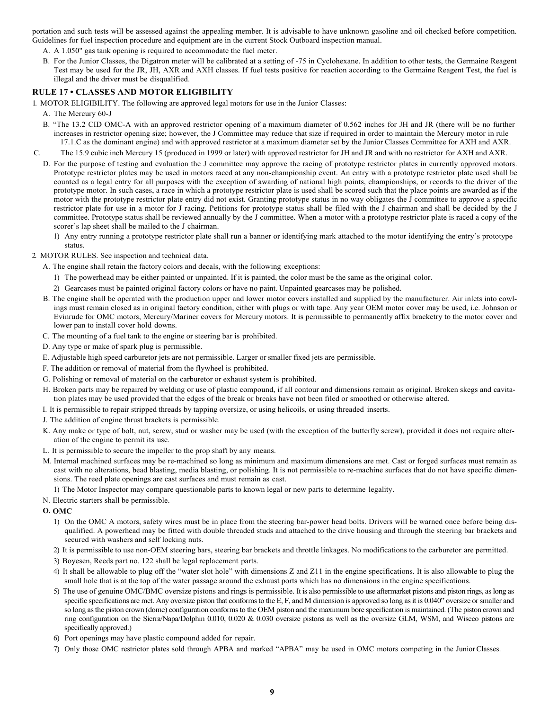portation and such tests will be assessed against the appealing member. It is advisable to have unknown gasoline and oil checked before competition. Guidelines for fuel inspection procedure and equipment are in the current Stock Outboard inspection manual.

- A. A 1.050" gas tank opening is required to accommodate the fuel meter.
- B. For the Junior Classes, the Digatron meter will be calibrated at a setting of -75 in Cyclohexane. In addition to other tests, the Germaine Reagent Test may be used for the JR, JH, AXR and AXH classes. If fuel tests positive for reaction according to the Germaine Reagent Test, the fuel is illegal and the driver must be disqualified.

# **RULE 17 • CLASSES AND MOTOR ELIGIBILITY**

1. MOTOR ELIGIBILITY. The following are approved legal motors for use in the Junior Classes:

- A. The Mercury 60-J
- B. "The 13.2 CID OMC-A with an approved restrictor opening of a maximum diameter of 0.562 inches for JH and JR (there will be no further increases in restrictor opening size; however, the J Committee may reduce that size if required in order to maintain the Mercury motor in rule 17.1.C as the dominant engine) and with approved restrictor at a maximum diameter set by the Junior Classes Committee for AXH and AXR.
- C. The 15.9 cubic inch Mercury 15 (produced in 1999 or later) with approved restrictor for JH and JR and with no restrictor for AXH and AXR.
	- D. For the purpose of testing and evaluation the J committee may approve the racing of prototype restrictor plates in currently approved motors. Prototype restrictor plates may be used in motors raced at any non-championship event. An entry with a prototype restrictor plate used shall be counted as a legal entry for all purposes with the exception of awarding of national high points, championships, or records to the driver of the prototype motor. In such cases, a race in which a prototype restrictor plate is used shall be scored such that the place points are awarded as if the motor with the prototype restrictor plate entry did not exist. Granting prototype status in no way obligates the J committee to approve a specific restrictor plate for use in a motor for J racing. Petitions for prototype status shall be filed with the J chairman and shall be decided by the J committee. Prototype status shall be reviewed annually by the J committee. When a motor with a prototype restrictor plate is raced a copy of the scorer's lap sheet shall be mailed to the J chairman.
		- 1) Any entry running a prototype restrictor plate shall run a banner or identifying mark attached to the motor identifying the entry's prototype status.
- 2. MOTOR RULES. See inspection and technical data.
	- A. The engine shall retain the factory colors and decals, with the following exceptions:
		- 1) The powerhead may be either painted or unpainted. If it is painted, the color must be the same as the original color.
		- 2) Gearcases must be painted original factory colors or have no paint. Unpainted gearcases may be polished.
	- B. The engine shall be operated with the production upper and lower motor covers installed and supplied by the manufacturer. Air inlets into cowlings must remain closed as in original factory condition, either with plugs or with tape. Any year OEM motor cover may be used, i.e. Johnson or Evinrude for OMC motors, Mercury/Mariner covers for Mercury motors. It is permissible to permanently affix bracketry to the motor cover and lower pan to install cover hold downs.
	- C. The mounting of a fuel tank to the engine or steering bar is prohibited.
	- D. Any type or make of spark plug is permissible.
	- E. Adjustable high speed carburetor jets are not permissible. Larger or smaller fixed jets are permissible.
	- F. The addition or removal of material from the flywheel is prohibited.
	- G. Polishing or removal of material on the carburetor or exhaust system is prohibited.
	- H. Broken parts may be repaired by welding or use of plastic compound, if all contour and dimensions remain as original. Broken skegs and cavitation plates may be used provided that the edges of the break or breaks have not been filed or smoothed or otherwise altered.
	- I. It is permissible to repair stripped threads by tapping oversize, or using helicoils, or using threaded inserts.
	- J. The addition of engine thrust brackets is permissible.
	- K. Any make or type of bolt, nut, screw, stud or washer may be used (with the exception of the butterfly screw), provided it does not require alteration of the engine to permit its use.
	- L. It is permissible to secure the impeller to the prop shaft by any means.
	- M. Internal machined surfaces may be re-machined so long as minimum and maximum dimensions are met. Cast or forged surfaces must remain as cast with no alterations, bead blasting, media blasting, or polishing. It is not permissible to re-machine surfaces that do not have specific dimensions. The reed plate openings are cast surfaces and must remain as cast.
	- 1) The Motor Inspector may compare questionable parts to known legal or new parts to determine legality.
	- N. Electric starters shall be permissible.
	- **O. OMC**
		- 1) On the OMC A motors, safety wires must be in place from the steering bar-power head bolts. Drivers will be warned once before being disqualified. A powerhead may be fitted with double threaded studs and attached to the drive housing and through the steering bar brackets and secured with washers and self locking nuts.
		- 2) It is permissible to use non-OEM steering bars, steering bar brackets and throttle linkages. No modifications to the carburetor are permitted.
		- 3) Boyesen, Reeds part no. 122 shall be legal replacement parts.
		- 4) It shall be allowable to plug off the "water slot hole" with dimensions Z and Z11 in the engine specifications. It is also allowable to plug the small hole that is at the top of the water passage around the exhaust ports which has no dimensions in the engine specifications.
		- 5) The use of genuine OMC/BMC oversize pistons and rings is permissible. It is also permissible to use aftermarket pistons and piston rings, as long as specific specifications are met. Any oversize piston that conforms to the E, F, and M dimension is approved so long as it is 0.040" oversize or smaller and so long as the piston crown (dome) configuration conforms to the OEM piston and the maximum bore specification is maintained. (The piston crown and ring configuration on the Sierra/Napa/Dolphin 0.010, 0.020 & 0.030 oversize pistons as well as the oversize GLM, WSM, and Wiseco pistons are specifically approved.)
		- 6) Port openings may have plastic compound added for repair.
		- 7) Only those OMC restrictor plates sold through APBA and marked "APBA" may be used in OMC motors competing in the JuniorClasses.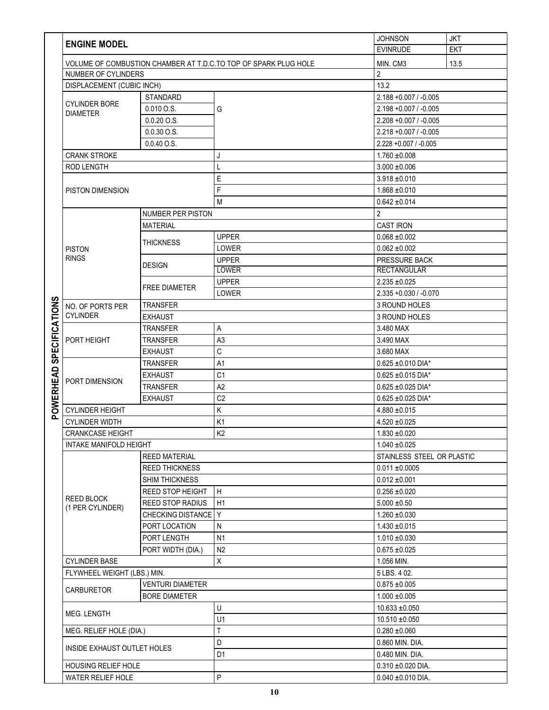|                      |                                                                 |                          |                              | <b>JOHNSON</b>             | <b>JKT</b> |  |
|----------------------|-----------------------------------------------------------------|--------------------------|------------------------------|----------------------------|------------|--|
|                      | <b>ENGINE MODEL</b>                                             |                          |                              | <b>EVINRUDE</b>            | <b>EKT</b> |  |
|                      |                                                                 |                          |                              |                            |            |  |
|                      | VOLUME OF COMBUSTION CHAMBER AT T.D.C.TO TOP OF SPARK PLUG HOLE |                          | MIN. CM3                     | 13.5                       |            |  |
|                      | NUMBER OF CYLINDERS                                             |                          |                              | $\overline{2}$             |            |  |
|                      | DISPLACEMENT (CUBIC INCH)                                       |                          |                              | 13.2                       |            |  |
|                      | <b>CYLINDER BORE</b>                                            | <b>STANDARD</b>          |                              | $2.188 + 0.007 / -0.005$   |            |  |
|                      | <b>DIAMETER</b>                                                 | 0.010 O.S.               | G                            | 2.198 +0.007 / -0.005      |            |  |
|                      |                                                                 | $0.0.20$ O.S.            |                              | 2.208 +0.007 / -0.005      |            |  |
|                      |                                                                 | $0.0.30$ O.S.            |                              | $2.218 + 0.007 / -0.005$   |            |  |
|                      |                                                                 | $0.0.40$ O.S.            |                              | $2.228 + 0.007 / -0.005$   |            |  |
|                      | <b>CRANK STROKE</b>                                             |                          | J                            | $1.760 + 0.008$            |            |  |
|                      | ROD LENGTH                                                      |                          | L                            | $3.000 + 0.006$            |            |  |
|                      | PISTON DIMENSION                                                |                          | Ε                            | $3.918 + 0.010$            |            |  |
|                      |                                                                 |                          | F                            | $1.868 + 0.010$            |            |  |
|                      |                                                                 |                          | M                            | $0.642 \pm 0.014$          |            |  |
|                      |                                                                 |                          |                              |                            |            |  |
|                      |                                                                 | <b>NUMBER PER PISTON</b> |                              | $\overline{2}$             |            |  |
|                      |                                                                 | <b>MATERIAL</b>          |                              | <b>CAST IRON</b>           |            |  |
|                      |                                                                 | THICKNESS                | <b>UPPER</b>                 | $0.068 + 0.002$            |            |  |
|                      | <b>PISTON</b>                                                   |                          | LOWER                        | $0.062 \pm 0.002$          |            |  |
|                      | <b>RINGS</b>                                                    | <b>DESIGN</b>            | <b>UPPER</b>                 | PRESSURE BACK              |            |  |
|                      |                                                                 |                          | LOWER                        | <b>RECTANGULAR</b>         |            |  |
|                      |                                                                 | <b>FREE DIAMETER</b>     | <b>UPPER</b>                 | $2.235 + 0.025$            |            |  |
| ၯ                    |                                                                 |                          | LOWER                        | $2.335 + 0.030 / -0.070$   |            |  |
|                      | NO. OF PORTS PER                                                | <b>TRANSFER</b>          |                              | 3 ROUND HOLES              |            |  |
|                      | <b>CYLINDER</b>                                                 | <b>EXHAUST</b>           |                              | 3 ROUND HOLES              |            |  |
| <b>SPECIFICATION</b> |                                                                 | <b>TRANSFER</b><br>А     |                              | 3.480 MAX                  |            |  |
|                      | PORT HEIGHT                                                     | <b>TRANSFER</b>          | A <sub>3</sub><br>3.490 MAX  |                            |            |  |
|                      |                                                                 | <b>EXHAUST</b>           | C                            | 3.680 MAX                  |            |  |
|                      |                                                                 | <b>TRANSFER</b>          | A <sub>1</sub>               | $0.625 \pm 0.010$ DIA*     |            |  |
|                      |                                                                 | <b>EXHAUST</b>           | C <sub>1</sub>               | $0.625 \pm 0.015$ DIA*     |            |  |
|                      | PORT DIMENSION                                                  | <b>TRANSFER</b>          | A2<br>$0.625 \pm 0.025$ DIA* |                            |            |  |
|                      | <b>EXHAUST</b>                                                  |                          | C <sub>2</sub>               | $0.625 \pm 0.025$ DIA*     |            |  |
| <b>POWERHEAD</b>     | <b>CYLINDER HEIGHT</b>                                          |                          | Κ                            | $4.880 + 0.015$            |            |  |
|                      | <b>CYLINDER WIDTH</b>                                           |                          | K <sub>1</sub>               | $4.520 \pm 0.025$          |            |  |
|                      | CRANKCASE HEIGHT                                                |                          | K <sub>2</sub>               | $1.830 + 0.020$            |            |  |
|                      | INTAKE MANIFOLD HEIGHT                                          |                          |                              | $1.040 \pm 0.025$          |            |  |
|                      | <b>REED MATERIAL</b>                                            |                          |                              | STAINLESS STEEL OR PLASTIC |            |  |
|                      |                                                                 | <b>REED THICKNESS</b>    |                              | $0.011 \pm 0.0005$         |            |  |
|                      |                                                                 | <b>SHIM THICKNESS</b>    |                              | $0.012 \pm 0.001$          |            |  |
|                      |                                                                 | REED STOP HEIGHT         | H                            | $0.256 \pm 0.020$          |            |  |
|                      | <b>REED BLOCK</b>                                               | <b>REED STOP RADIUS</b>  | H1                           | $5.000 \pm 0.50$           |            |  |
|                      | (1 PER CYLINDER)                                                | CHECKING DISTANCE Y      |                              | $1.260 \pm 0.030$          |            |  |
|                      |                                                                 | PORT LOCATION            |                              |                            |            |  |
|                      |                                                                 |                          | N                            | $1.430 + 0.015$            |            |  |
|                      |                                                                 | PORT LENGTH              | N1                           | $1.010 \pm 0.030$          |            |  |
|                      |                                                                 | PORT WIDTH (DIA.)        | N <sub>2</sub>               | $0.675 \pm 0.025$          |            |  |
|                      | <b>CYLINDER BASE</b>                                            |                          | X                            | 1.056 MIN.                 |            |  |
|                      | FLYWHEEL WEIGHT (LBS.) MIN.                                     |                          |                              | 5 LBS. 4 02.               |            |  |
|                      | CARBURETOR                                                      | <b>VENTURI DIAMETER</b>  |                              | $0.875 \pm 0.005$          |            |  |
|                      | <b>BORE DIAMETER</b>                                            |                          |                              | $1.000 + 0.005$            |            |  |
|                      | MEG. LENGTH                                                     |                          | U                            | $10.633 \pm 0.050$         |            |  |
|                      |                                                                 |                          | U1                           | $10.510 \pm 0.050$         |            |  |
|                      | MEG. RELIEF HOLE (DIA.)                                         |                          | T                            | $0.280 + 0.060$            |            |  |
|                      | INSIDE EXHAUST OUTLET HOLES                                     |                          | D                            | 0.860 MIN. DIA.            |            |  |
|                      |                                                                 |                          | D <sub>1</sub>               | 0.480 MIN. DIA.            |            |  |
|                      | HOUSING RELIEF HOLE                                             |                          |                              | $0.310 \pm 0.020$ DIA.     |            |  |
|                      | WATER RELIEF HOLE                                               |                          | P                            | $0.040 \pm 0.010$ DIA.     |            |  |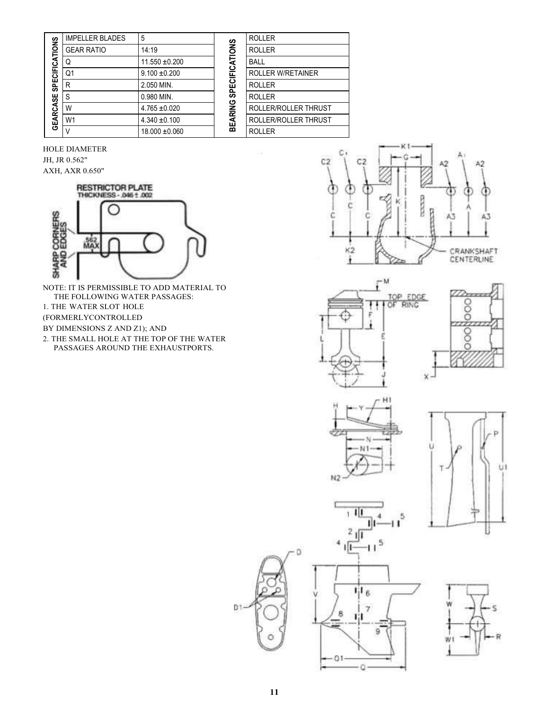| <b>SPECIFICATIONS</b><br>GEARCASE | <b>IMPELLER BLADES</b> | 5                  | <b>SPECIFICATIONS</b><br>BEARING | <b>ROLLER</b>            |
|-----------------------------------|------------------------|--------------------|----------------------------------|--------------------------|
|                                   | <b>GEAR RATIO</b>      | 14:19              |                                  | <b>ROLLER</b>            |
|                                   | Q                      | $11.550 \pm 0.200$ |                                  | <b>BALL</b>              |
|                                   | Q1                     | $9.100 \pm 0.200$  |                                  | <b>ROLLER W/RETAINER</b> |
|                                   | R                      | 2.050 MIN.         |                                  | <b>ROLLER</b>            |
|                                   | S                      | 0.980 MIN.         |                                  | <b>ROLLER</b>            |
|                                   | W                      | $4.765 \pm 0.020$  |                                  | ROLLER/ROLLER THRUST     |
|                                   | W <sub>1</sub>         | $4.340 \pm 0.100$  |                                  | ROLLER/ROLLER THRUST     |
|                                   |                        | $18.000 \pm 0.060$ |                                  | <b>ROLLER</b>            |

HOLE DIAMETER JH, JR 0.562" AXH, AXR 0.650"



NOTE: IT IS PERMISSIBLE TO ADD MATERIAL TO THE FOLLOWING WATER PASSAGES: 1. THE WATER SLOT HOLE (FORMERLYCONTROLLED BY DIMENSIONS Z AND Z1); AND

2. THE SMALL HOLE AT THE TOP OF THE WATER

PASSAGES AROUND THE EXHAUSTPORTS.













8

 $01$ 

43







Ð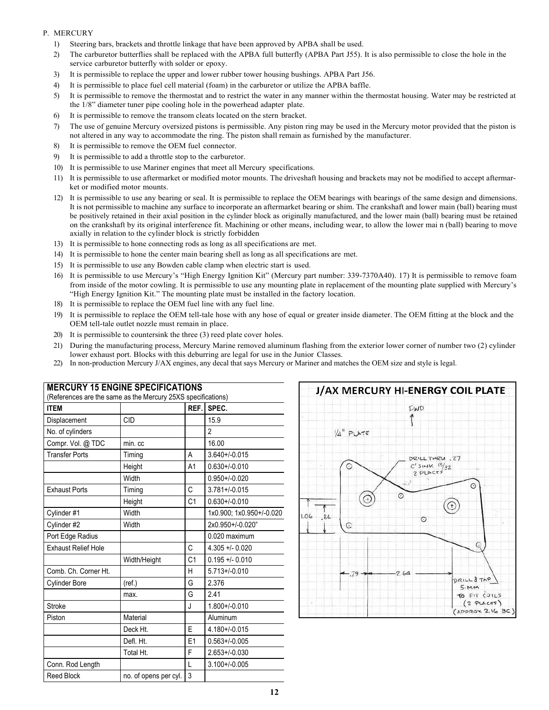## P. MERCURY

- 1) Steering bars, brackets and throttle linkage that have been approved by APBA shall be used.
- 2) The carburetor butterflies shall be replaced with the APBA full butterfly (APBA Part J55). It is also permissible to close the hole in the service carburetor butterfly with solder or epoxy.
- 3) It is permissible to replace the upper and lower rubber tower housing bushings. APBA Part J56.
- 4) It is permissible to place fuel cell material (foam) in the carburetor or utilize the APBA baffle.
- 5) It is permissible to remove the thermostat and to restrict the water in any manner within the thermostat housing. Water may be restricted at the 1/8" diameter tuner pipe cooling hole in the powerhead adapter plate.
- 6) It is permissible to remove the transom cleats located on the stern bracket.
- 7) The use of genuine Mercury oversized pistons is permissible. Any piston ring may be used in the Mercury motor provided that the piston is not altered in any way to accommodate the ring. The piston shall remain as furnished by the manufacturer.
- 8) It is permissible to remove the OEM fuel connector.
- 9) It is permissible to add a throttle stop to the carburetor.
- 10) It is permissible to use Mariner engines that meet all Mercury specifications.
- 11) It is permissible to use aftermarket or modified motor mounts. The driveshaft housing and brackets may not be modified to accept aftermarket or modified motor mounts.
- 12) It is permissible to use any bearing or seal. It is permissible to replace the OEM bearings with bearings of the same design and dimensions. It is not permissible to machine any surface to incorporate an aftermarket bearing or shim. The crankshaft and lower main (ball) bearing must be positively retained in their axial position in the cylinder block as originally manufactured, and the lower main (ball) bearing must be retained on the crankshaft by its original interference fit. Machining or other means, including wear, to allow the lower mai n (ball) bearing to move axially in relation to the cylinder block is strictly forbidden
- 13) It is permissible to hone connecting rods as long as all specifications are met.
- 14) It is permissible to hone the center main bearing shell as long as all specifications are met.
- 15) It is permissible to use any Bowden cable clamp when electric start is used.
- 16) It is permissible to use Mercury's "High Energy Ignition Kit" (Mercury part number: 339-7370A40). 17) It is permissible to remove foam from inside of the motor cowling. It is permissible to use any mounting plate in replacement of the mounting plate supplied with Mercury's "High Energy Ignition Kit." The mounting plate must be installed in the factory location.
- 18) It is permissible to replace the OEM fuel line with any fuel line.
- 19) It is permissible to replace the OEM tell-tale hose with any hose of equal or greater inside diameter. The OEM fitting at the block and the OEM tell-tale outlet nozzle must remain in place.
- 20) It is permissible to countersink the three (3) reed plate cover holes.
- 21) During the manufacturing process, Mercury Marine removed aluminum flashing from the exterior lower corner of number two (2) cylinder lower exhaust port. Blocks with this deburring are legal for use in the Junior Classes.
- 22) In non-production Mercury J/AX engines, any decal that says Mercury or Mariner and matches the OEM size and style is legal.

| <b>ITEM</b>                |                       | REF.           | SPEC.                    |
|----------------------------|-----------------------|----------------|--------------------------|
| Displacement               | <b>CID</b>            |                | 15.9                     |
| No. of cylinders           |                       |                | $\mathfrak{p}$           |
| Compr. Vol. @ TDC          | min.cc                |                | 16.00                    |
| <b>Transfer Ports</b>      | Timing                | A              | $3.640 + 0.015$          |
|                            | Height                | A <sub>1</sub> | $0.630 + / -0.010$       |
|                            | Width                 |                | $0.950 + / -0.020$       |
| <b>Exhaust Ports</b>       | Timing                | C              | $3.781 + 0.015$          |
|                            | Height                | C <sub>1</sub> | $0.630 + / -0.010$       |
| Cylinder #1                | Width                 |                | 1x0.900; 1x0.950+/-0.020 |
| Cylinder #2                | Width                 |                | 2x0.950+/-0.020"         |
| Port Edge Radius           |                       |                | 0.020 maximum            |
| <b>Exhaust Relief Hole</b> |                       | С              | $4.305 + 0.020$          |
|                            | Width/Height          | C <sub>1</sub> | $0.195 + 0.010$          |
| Comb. Ch. Corner Ht.       |                       | H              | $5.713 + / -0.010$       |
| Cylinder Bore              | (ref.)                | G              | 2.376                    |
|                            | max.                  | G              | 2.41                     |
| <b>Stroke</b>              |                       | J.             | $1.800 + / -0.010$       |
| Piston                     | Material              |                | Aluminum                 |
|                            | Deck Ht.              | F              | $4.180 + (-0.015)$       |
|                            | Defl. Ht.             | E1             | $0.563 + / -0.005$       |
|                            | Total Ht.             | F              | $2.653 + / -0.030$       |
| Conn. Rod Length           |                       | L              | $3.100 + (-0.005)$       |
| <b>Reed Block</b>          | no. of opens per cyl. | 3              |                          |



# **MERCURY 15 ENGINE SPECIFICATIONS**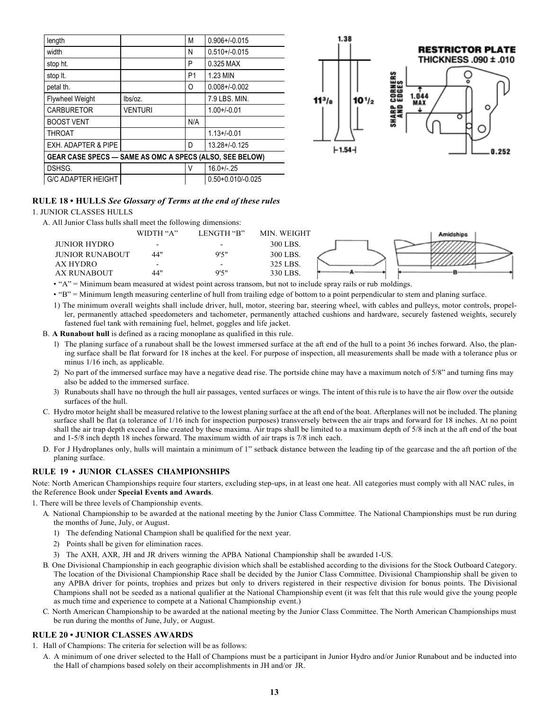| length                                                  |                | M              | $0.906 + / -0.015$    |  |  |
|---------------------------------------------------------|----------------|----------------|-----------------------|--|--|
| width                                                   |                | N              | $0.510 + 0.015$       |  |  |
| stop ht.                                                |                | P              | 0.325 MAX             |  |  |
| stop It.                                                |                | P <sub>1</sub> | 1.23 MIN              |  |  |
| petal th.                                               |                | O              | $0.008 + / -0.002$    |  |  |
| <b>Flywheel Weight</b>                                  | lbs/oz.        |                | 7.9 LBS, MIN.         |  |  |
| <b>CARBURETOR</b>                                       | <b>VENTURI</b> |                | $1.00+/0.01$          |  |  |
| <b>BOOST VENT</b>                                       |                | N/A            |                       |  |  |
| <b>THROAT</b>                                           |                |                | $1.13 + 0.01$         |  |  |
| EXH. ADAPTER & PIPE                                     |                | D              | $13.28 + 0.125$       |  |  |
| GEAR CASE SPECS - SAME AS OMC A SPECS (ALSO, SEE BELOW) |                |                |                       |  |  |
| DSHSG.                                                  |                | V              | $16.0 + (-25)$        |  |  |
| <b>G/C ADAPTER HEIGHT</b>                               |                |                | $0.50 + 0.010/-0.025$ |  |  |



# **RULE 18 • HULLS** *See Glossary of Terms at the end of these rules*

#### 1. JUNIOR CLASSES HULLS

A. All Junior Class hulls shall meet the following dimensions:

|                        | WIDTH "A"                | LENGTH "B"               | MIN. WEIGHT | Amidships |
|------------------------|--------------------------|--------------------------|-------------|-----------|
| <b>JUNIOR HYDRO</b>    | $\overline{\phantom{0}}$ | $\overline{\phantom{0}}$ | 300 LBS.    |           |
| <b>JUNIOR RUNABOUT</b> | 44"                      | 9'5"                     | 300 LBS.    |           |
| AX HYDRO               | $\overline{\phantom{0}}$ | $\overline{\phantom{0}}$ | 325 LBS.    |           |
| AX RUNABOUT            | 44"                      | 9'5"                     | 330 LBS.    |           |

• "A" = Minimum beam measured at widest point across transom, but not to include spray rails or rub moldings.

• "B" = Minimum length measuring centerline of hull from trailing edge of bottom to a point perpendicular to stem and planing surface.

1) The minimum overall weights shall include driver, hull, motor, steering bar, steering wheel, with cables and pulleys, motor controls, propeller, permanently attached speedometers and tachometer, permanently attached cushions and hardware, securely fastened weights, securely fastened fuel tank with remaining fuel, helmet, goggles and life jacket.

B. **A Runabout hull** is defined as a racing monoplane as qualified in this rule.

- 1) The planing surface of a runabout shall be the lowest immersed surface at the aft end of the hull to a point 36 inches forward. Also, the planing surface shall be flat forward for 18 inches at the keel. For purpose of inspection, all measurements shall be made with a tolerance plus or minus  $1/16$  inch, as applicable.
- 2) No part of the immersed surface may have a negative dead rise. The portside chine may have a maximum notch of 5/8" and turning fins may also be added to the immersed surface.
- 3) Runabouts shall have no through the hull air passages, vented surfaces or wings. The intent of this rule is to have the air flow over the outside surfaces of the hull.
- C. Hydro motor height shall be measured relative to the lowest planing surface at the aft end of the boat. Afterplanes will not be included. The planing surface shall be flat (a tolerance of 1/16 inch for inspection purposes) transversely between the air traps and forward for 18 inches. At no point shall the air trap depth exceed a line created by these maxima. Air traps shall be limited to a maximum depth of 5/8 inch at the aft end of the boat and 1-5/8 inch depth 18 inches forward. The maximum width of air traps is 7/8 inch each.
- D. For J Hydroplanes only, hulls will maintain a minimum of 1" setback distance between the leading tip of the gearcase and the aft portion of the planing surface.

## **RULE 19 • JUNIOR CLASSES CHAMPIONSHIPS**

Note: North American Championships require four starters, excluding step-ups, in at least one heat. All categories must comply with all NAC rules, in the Reference Book under **Special Events and Awards**.

1. There will be three levels of Championship events.

- A. National Championship to be awarded at the national meeting by the Junior Class Committee. The National Championships must be run during the months of June, July, or August.
	- 1) The defending National Champion shall be qualified for the next year.
	- 2) Points shall be given for elimination races.
	- 3) The AXH, AXR, JH and JR drivers winning the APBA National Championship shall be awarded 1-US.
- B. One Divisional Championship in each geographic division which shall be established according to the divisions for the Stock Outboard Category. The location of the Divisional Championship Race shall be decided by the Junior Class Committee. Divisional Championship shall be given to any APBA driver for points, trophies and prizes but only to drivers registered in their respective division for bonus points. The Divisional Champions shall not be seeded as a national qualifier at the National Championship event (it was felt that this rule would give the young people as much time and experience to compete at a National Championship event.)
- C. North American Championship to be awarded at the national meeting by the Junior Class Committee. The North American Championships must be run during the months of June, July, or August.

#### **RULE 20 • JUNIOR CLASSES AWARDS**

- 1. Hall of Champions: The criteria for selection will be as follows:
	- A. A minimum of one driver selected to the Hall of Champions must be a participant in Junior Hydro and/or Junior Runabout and be inducted into the Hall of champions based solely on their accomplishments in JH and/or JR.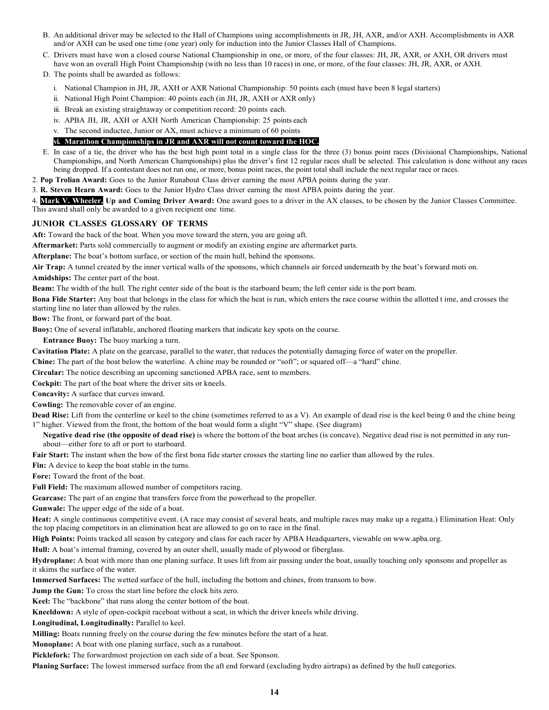- B. An additional driver may be selected to the Hall of Champions using accomplishments in JR, JH, AXR, and/or AXH. Accomplishments in AXR and/or AXH can be used one time (one year) only for induction into the Junior Classes Hall of Champions.
- C. Drivers must have won a closed course National Championship in one, or more, of the four classes: JH, JR, AXR, or AXH, OR drivers must have won an overall High Point Championship (with no less than 10 races) in one, or more, of the four classes: JH, JR, AXR, or AXH.
- D. The points shall be awarded as follows:
	- i. National Champion in JH, JR, AXH or AXR National Championship: 50 points each (must have been 8 legal starters)
	- ii. National High Point Champion: 40 points each (in JH, JR, AXH or AXR only)
	- iii. Break an existing straightaway or competition record: 20 points each.
	- iv. APBA JH, JR, AXH or AXH North American Championship: 25 points each

v. The second inductee, Junior or AX, must achieve a minimum of 60 points

## **vi. Marathon Championships in JR and AXR will not count toward the HOC.**

- E. In case of a tie, the driver who has the best high point total in a single class for the three (3) bonus point races (Divisional Championships, National Championships, and North American Championships) plus the driver's first 12 regular races shall be selected. This calculation is done without any races being dropped. If a contestant does not run one, or more, bonus point races, the point total shall include the next regular race or races.
- 2. **Pop Trolian Award:** Goes to the Junior Runabout Class driver earning the most APBA points during the year.
- 3. **R. Steven Hearn Award:** Goes to the Junior Hydro Class driver earning the most APBA points during the year.

4. **Mark V. Wheeler, Up and Coming Driver Award:** One award goes to a driver in the AX classes, to be chosen by the Junior Classes Committee. This award shall only be awarded to a given recipient one time.

#### **JUNIOR CLASSES GLOSSARY OF TERMS**

**Aft:** Toward the back of the boat. When you move toward the stern, you are going aft.

**Aftermarket:** Parts sold commercially to augment or modify an existing engine are aftermarket parts.

**Afterplane:** The boat's bottom surface, or section of the main hull, behind the sponsons.

**Air Trap:** A tunnel created by the inner vertical walls of the sponsons, which channels air forced underneath by the boat's forward moti on.

**Amidships:** The center part of the boat.

**Beam:** The width of the hull. The right center side of the boat is the starboard beam; the left center side is the port beam.

**Bona Fide Starter:** Any boat that belongs in the class for which the heat is run, which enters the race course within the allotted t ime, and crosses the starting line no later than allowed by the rules.

**Bow:** The front, or forward part of the boat.

**Buoy:** One of several inflatable, anchored floating markers that indicate key spots on the course.

**Entrance Buoy:** The buoy marking a turn.

**Cavitation Plate:** A plate on the gearcase, parallel to the water, that reduces the potentially damaging force of water on the propeller.

**Chine:** The part of the boat below the waterline. A chine may be rounded or "soft"; or squared off—a "hard" chine.

**Circular:** The notice describing an upcoming sanctioned APBA race, sent to members.

**Cockpit:** The part of the boat where the driver sits or kneels.

**Concavity:** A surface that curves inward.

**Cowling:** The removable cover of an engine.

**Dead Rise:** Lift from the centerline or keel to the chine (sometimes referred to as a V). An example of dead rise is the keel being 0 and the chine being 1" higher. Viewed from the front, the bottom of the boat would form a slight "V" shape. (See diagram)

**Negative dead rise (the opposite of dead rise)** is where the bottom of the boat arches (is concave). Negative dead rise is not permitted in any runabout—either fore to aft or port to starboard.

**Fair Start:** The instant when the bow of the first bona fide starter crosses the starting line no earlier than allowed by the rules.

**Fin:** A device to keep the boat stable in the turns.

**Fore:** Toward the front of the boat.

**Full Field:** The maximum allowed number of competitors racing.

**Gearcase:** The part of an engine that transfers force from the powerhead to the propeller.

**Gunwale:** The upper edge of the side of a boat.

**Heat:** A single continuous competitive event. (A race may consist of several heats, and multiple races may make up a regatta.) Elimination Heat: Only the top placing competitors in an elimination heat are allowed to go on to race in the final.

**High Points:** Points tracked all season by category and class for each racer by APBA Headquarters, viewable on [www.apba.org.](http://www.apba.org/)

**Hull:** A boat's internal framing, covered by an outer shell, usually made of plywood or fiberglass.

**Hydroplane:** A boat with more than one planing surface. It uses lift from air passing under the boat, usually touching only sponsons and propeller as it skims the surface of the water.

**Immersed Surfaces:** The wetted surface of the hull, including the bottom and chines, from transom to bow.

**Jump the Gun:** To cross the start line before the clock hits zero.

**Keel:** The "backbone" that runs along the center bottom of the boat.

**Kneeldown:** A style of open-cockpit raceboat without a seat, in which the driver kneels while driving.

**Longitudinal, Longitudinally:** Parallel to keel.

**Milling:** Boats running freely on the course during the few minutes before the start of a heat.

**Monoplane:** A boat with one planing surface, such as a runabout.

**Picklefork:** The forwardmost projection on each side of a boat. See Sponson.

**Planing Surface:** The lowest immersed surface from the aft end forward (excluding hydro airtraps) as defined by the hull categories.